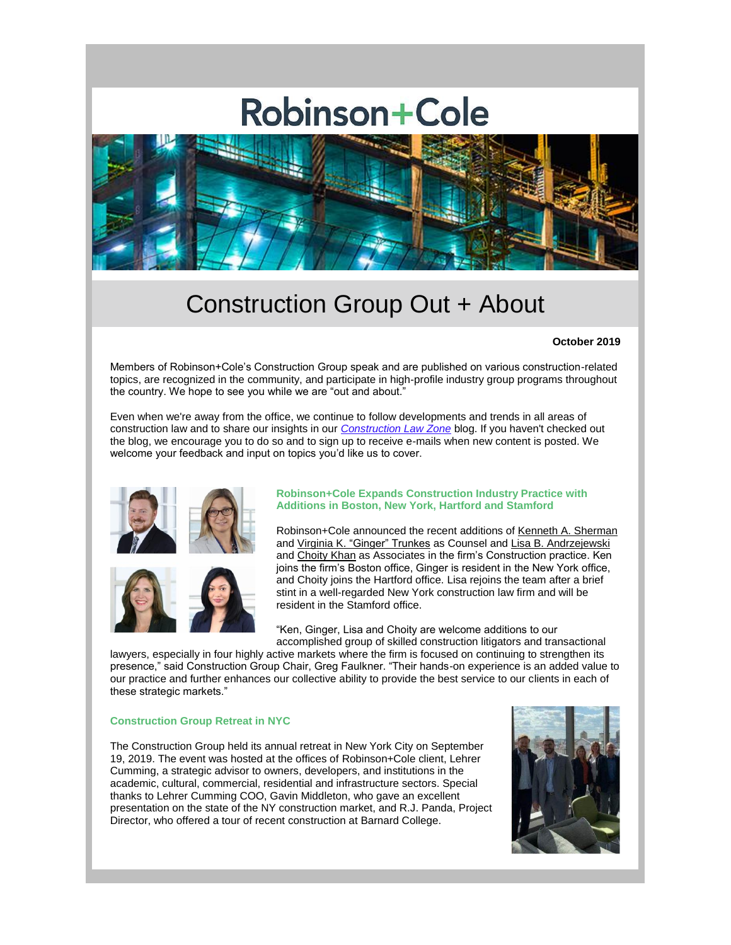# **Robinson+Cole**



# Construction Group Out + About

### **October 2019**

Members of Robinson+Cole's Construction Group speak and are published on various construction-related topics, are recognized in the community, and participate in high-profile industry group programs throughout the country. We hope to see you while we are "out and about."

Even when we're away from the office, we continue to follow developments and trends in all areas of construction law and to share our insights in our *[Construction Law Zone](https://protect-us.mimecast.com/s/3fTRCo2mBPSXGgK9UV1ZvA?domain=r20.rs6.net)* blog. If you haven't checked out the blog, we encourage you to do so and to sign up to receive e-mails when new content is posted. We welcome your feedback and input on topics you'd like us to cover.



#### **Robinson+Cole Expands Construction Industry Practice with Additions in Boston, New York, Hartford and Stamford**

Robinson+Cole announced the recent additions of [Kenneth A. Sherman](https://protect-us.mimecast.com/s/C85aCpYnDPfzLVxkCGwTvQ?domain=r20.rs6.net) and Virginia K. ["Ginger" Trunkes](https://protect-us.mimecast.com/s/_CtyCqxoE9iOrE7BtNW7_i?domain=r20.rs6.net) as Counsel and [Lisa B. Andrzejewski](https://protect-us.mimecast.com/s/kdzqCrkpG6CAjkDMHNSVod?domain=r20.rs6.net) and [Choity Khan](https://protect-us.mimecast.com/s/AjtXCv2wMkSWgYy1Sysjen?domain=r20.rs6.net) as Associates in the firm's Construction practice. Ken joins the firm's Boston office, Ginger is resident in the New York office, and Choity joins the Hartford office. Lisa rejoins the team after a brief stint in a well-regarded New York construction law firm and will be resident in the Stamford office.

"Ken, Ginger, Lisa and Choity are welcome additions to our accomplished group of skilled construction litigators and transactional

lawyers, especially in four highly active markets where the firm is focused on continuing to strengthen its presence," said Construction Group Chair, Greg Faulkner. "Their hands-on experience is an added value to our practice and further enhances our collective ability to provide the best service to our clients in each of these strategic markets."

#### **Construction Group Retreat in NYC**

The Construction Group held its annual retreat in New York City on September 19, 2019. The event was hosted at the offices of Robinson+Cole client, Lehrer Cumming, a strategic advisor to owners, developers, and institutions in the academic, cultural, commercial, residential and infrastructure sectors. Special thanks to Lehrer Cumming COO, Gavin Middleton, who gave an excellent presentation on the state of the NY construction market, and R.J. Panda, Project Director, who offered a tour of recent construction at Barnard College.

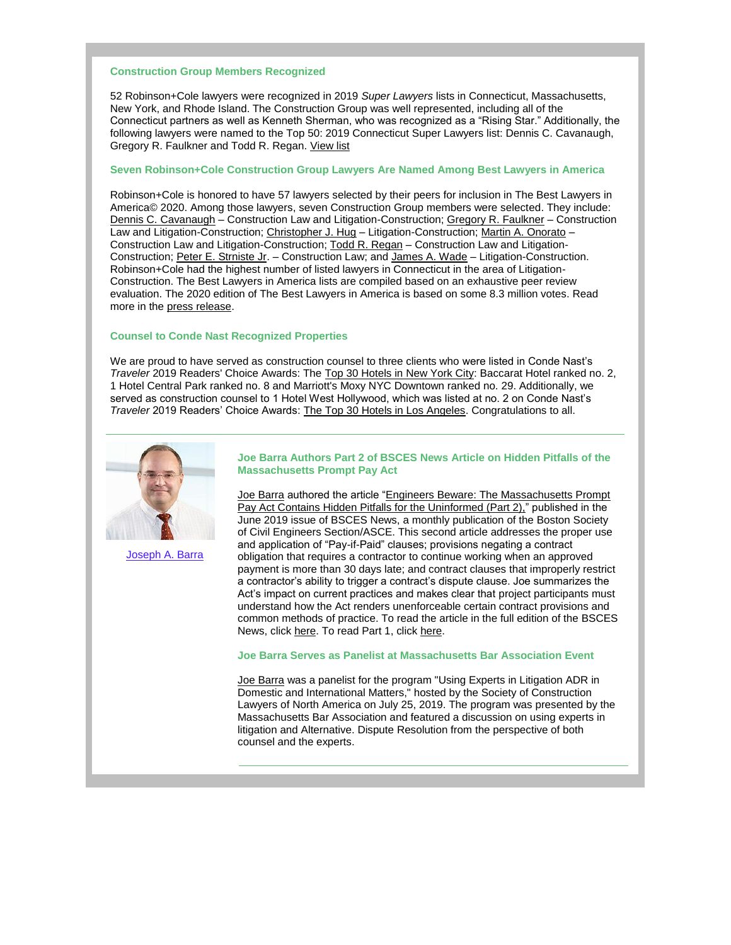#### **Construction Group Members Recognized**

52 Robinson+Cole lawyers were recognized in 2019 *Super Lawyers* lists in Connecticut, Massachusetts, New York, and Rhode Island. The Construction Group was well represented, including all of the Connecticut partners as well as Kenneth Sherman, who was recognized as a "Rising Star." Additionally, the following lawyers were named to the Top 50: 2019 Connecticut Super Lawyers list: Dennis C. Cavanaugh, Gregory R. Faulkner and Todd R. Regan. [View list](https://protect-us.mimecast.com/s/npaZCwpxNlHLQqR6cQ4ow_?domain=r20.rs6.net)

# **Seven Robinson+Cole Construction Group Lawyers Are Named Among Best Lawyers in America**

Robinson+Cole is honored to have 57 lawyers selected by their peers for inclusion in The Best Lawyers in America© 2020. Among those lawyers, seven Construction Group members were selected. They include: [Dennis C. Cavanaugh](https://protect-us.mimecast.com/s/znx9Cxky0mCJ07Q8hAzrCm?domain=r20.rs6.net) – Construction Law and Litigation-Construction; [Gregory R. Faulkner](https://protect-us.mimecast.com/s/lVM2CyPz4ntNW8yDikONop?domain=r20.rs6.net) – Construction Law and Litigation-Construction; [Christopher J. Hug](https://protect-us.mimecast.com/s/rjRMCzpA8oHRBkmDUJ4e38?domain=r20.rs6.net) – Litigation-Construction; [Martin A. Onorato](https://protect-us.mimecast.com/s/J00nCADrLxf9ow10tJjNt2?domain=r20.rs6.net) – Construction Law and Litigation-Construction[; Todd R. Regan](https://protect-us.mimecast.com/s/_3ODCBBvMyHVmwlqunENea?domain=r20.rs6.net) – Construction Law and Litigation-Construction; [Peter E. Strniste Jr.](https://protect-us.mimecast.com/s/2s8fCDkxOACBmEOpc7weFX?domain=r20.rs6.net) – Construction Law; and [James A. Wade](https://protect-us.mimecast.com/s/BamECERygBtWGv6ySqRxKE?domain=r20.rs6.net) – Litigation-Construction. Robinson+Cole had the highest number of listed lawyers in Connecticut in the area of Litigation-Construction. The Best Lawyers in America lists are compiled based on an exhaustive peer review evaluation. The 2020 edition of The Best Lawyers in America is based on some 8.3 million votes. Read more in the [press release.](https://protect-us.mimecast.com/s/T7hXCG6AkEfJlDLnhM2ijX?domain=r20.rs6.net)

#### **Counsel to Conde Nast Recognized Properties**

We are proud to have served as construction counsel to three clients who were listed in Conde Nast's *Traveler* 2019 Readers' Choice Awards: The [Top 30 Hotels in New York City:](https://protect-us.mimecast.com/s/UeY1CJ61nRf8z6QOUDyQ_K?domain=r20.rs6.net) Baccarat Hotel ranked no. 2, 1 Hotel Central Park ranked no. 8 and Marriott's Moxy NYC Downtown ranked no. 29. Additionally, we served as construction counsel to 1 Hotel West Hollywood, which was listed at no. 2 on Conde Nast's *Traveler* 2019 Readers' Choice Awards: [The Top 30 Hotels in Los Angeles.](https://protect-us.mimecast.com/s/nfufCKrGoRiqwXrKU44WUD?domain=r20.rs6.net) Congratulations to all.



[Joseph A. Barra](https://protect-us.mimecast.com/s/ZUweCL9GpRiPOGYqhJaYcu?domain=r20.rs6.net)

#### **Joe Barra Authors Part 2 of BSCES News Article on Hidden Pitfalls of the Massachusetts Prompt Pay Act**

[Joe Barra](https://protect-us.mimecast.com/s/ZUweCL9GpRiPOGYqhJaYcu?domain=r20.rs6.net) authored the article ["Engineers Beware: The Massachusetts Prompt](https://protect-us.mimecast.com/s/lHSXCM8Xq6H58w6Pf2kLdf?domain=r20.rs6.net)  [Pay Act Contains Hidden Pitfalls for the Uninformed \(Part 2\),"](https://protect-us.mimecast.com/s/lHSXCM8Xq6H58w6Pf2kLdf?domain=r20.rs6.net) published in the June 2019 issue of BSCES News, a monthly publication of the Boston Society of Civil Engineers Section/ASCE. This second article addresses the proper use and application of "Pay-if-Paid" clauses; provisions negating a contract obligation that requires a contractor to continue working when an approved payment is more than 30 days late; and contract clauses that improperly restrict a contractor's ability to trigger a contract's dispute clause. Joe summarizes the Act's impact on current practices and makes clear that project participants must understand how the Act renders unenforceable certain contract provisions and common methods of practice. To read the article in the full edition of the BSCES News, clic[k here.](https://protect-us.mimecast.com/s/lHSXCM8Xq6H58w6Pf2kLdf?domain=r20.rs6.net) To read Part 1, click [here.](https://protect-us.mimecast.com/s/DOBECNkGrRCNxOMLiEJI6m?domain=r20.rs6.net)

#### **Joe Barra Serves as Panelist at Massachusetts Bar Association Event**

[Joe Barra](https://protect-us.mimecast.com/s/ZUweCL9GpRiPOGYqhJaYcu?domain=r20.rs6.net) was a panelist for the program "Using Experts in Litigation ADR in Domestic and International Matters," hosted by the Society of Construction Lawyers of North America on July 25, 2019. The program was presented by the Massachusetts Bar Association and featured a discussion on using experts in litigation and Alternative. Dispute Resolution from the perspective of both counsel and the experts.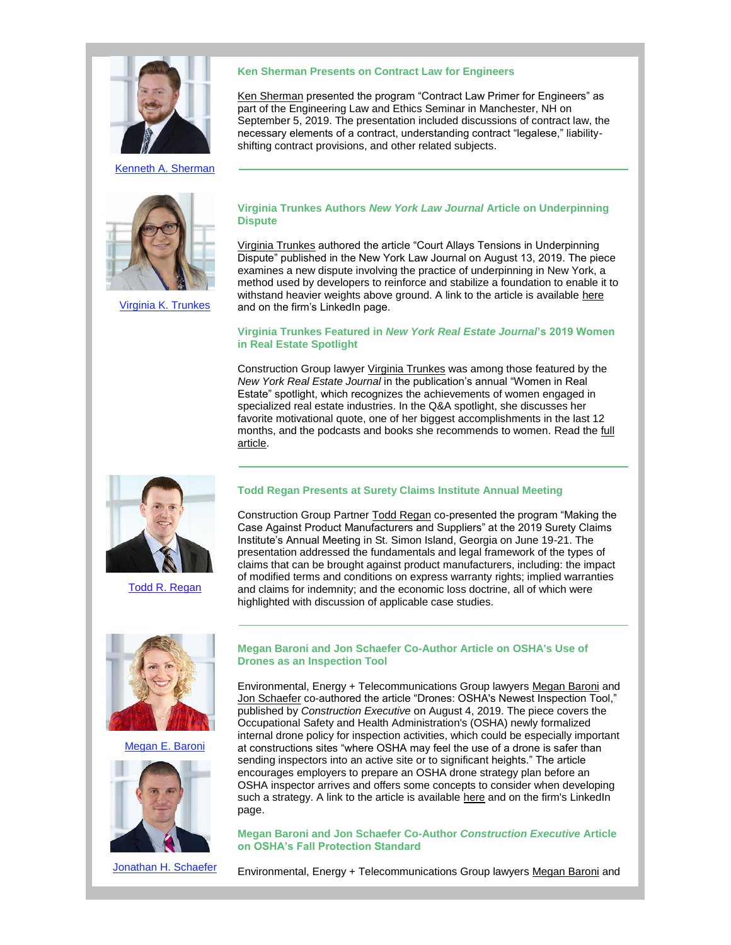

[Kenneth A. Sherman](https://protect-us.mimecast.com/s/MbTFCOYGvRfAX72YHmy8P_?domain=r20.rs6.net)



[Virginia K. Trunkes](https://protect-us.mimecast.com/s/hH9QCPNGw8C4mj5gIxl_Sv?domain=r20.rs6.net)

#### **Ken Sherman Presents on Contract Law for Engineers**

[Ken Sherman](https://protect-us.mimecast.com/s/MbTFCOYGvRfAX72YHmy8P_?domain=r20.rs6.net) presented the program "Contract Law Primer for Engineers" as part of the Engineering Law and Ethics Seminar in Manchester, NH on September 5, 2019. The presentation included discussions of contract law, the necessary elements of a contract, understanding contract "legalese," liabilityshifting contract provisions, and other related subjects.

#### **Virginia Trunkes Authors** *New York Law Journal* **Article on Underpinning Dispute**

[Virginia Trunkes](https://protect-us.mimecast.com/s/hH9QCPNGw8C4mj5gIxl_Sv?domain=r20.rs6.net) authored the article "Court Allays Tensions in Underpinning Dispute" published in the New York Law Journal on August 13, 2019. The piece examines a new dispute involving the practice of underpinning in New York, a method used by developers to reinforce and stabilize a foundation to enable it to withstand heavier weights above ground. A link to the article is available [here](https://protect-us.mimecast.com/s/SNggCQWXxRf6q2NVu7D31k?domain=r20.rs6.net) and on the firm's LinkedIn page.

#### **Virginia Trunkes Featured in** *New York Real Estate Journal***'s 2019 Women in Real Estate Spotlight**

Construction Group lawyer [Virginia Trunkes](https://protect-us.mimecast.com/s/hH9QCPNGw8C4mj5gIxl_Sv?domain=r20.rs6.net) was among those featured by the *New York Real Estate Journal* in the publication's annual "Women in Real Estate" spotlight, which recognizes the achievements of women engaged in specialized real estate industries. In the Q&A spotlight, she discusses her favorite motivational quote, one of her biggest accomplishments in the last 12 months, and the podcasts and books she recommends to women. Read the [full](https://protect-us.mimecast.com/s/0pSzCR6Xy7frlMgYFZc8Oj?domain=r20.rs6.net)  [article.](https://protect-us.mimecast.com/s/0pSzCR6Xy7frlMgYFZc8Oj?domain=r20.rs6.net)



[Todd R. Regan](https://protect-us.mimecast.com/s/-3BmCVOWD9FlKWPBfZkF3K?domain=r20.rs6.net)

# **Todd Regan Presents at Surety Claims Institute Annual Meeting**

Construction Group Partne[r Todd Regan](https://protect-us.mimecast.com/s/-3BmCVOWD9FlKWPBfZkF3K?domain=r20.rs6.net) co-presented the program "Making the Case Against Product Manufacturers and Suppliers" at the 2019 Surety Claims Institute's Annual Meeting in St. Simon Island, Georgia on June 19-21. The presentation addressed the fundamentals and legal framework of the types of claims that can be brought against product manufacturers, including: the impact of modified terms and conditions on express warranty rights; implied warranties and claims for indemnity; and the economic loss doctrine, all of which were highlighted with discussion of applicable case studies.



Megan [E. Baroni](https://protect-us.mimecast.com/s/8IJDCW61ERfjYMy3TRejZy?domain=r20.rs6.net)



[Jonathan H. Schaefer](https://protect-us.mimecast.com/s/a5QfCXDPGRfnN8MAI4JrGj?domain=r20.rs6.net)

#### **Megan Baroni and Jon Schaefer Co-Author Article on OSHA's Use of Drones as an Inspection Tool**

Environmental, Energy + Telecommunications Group lawyers [Megan Baroni](https://protect-us.mimecast.com/s/8IJDCW61ERfjYMy3TRejZy?domain=r20.rs6.net) and [Jon Schaefer](https://protect-us.mimecast.com/s/a5QfCXDPGRfnN8MAI4JrGj?domain=r20.rs6.net) co-authored the article "Drones: OSHA's Newest Inspection Tool," published by *Construction Executive* on August 4, 2019. The piece covers the Occupational Safety and Health Administration's (OSHA) newly formalized internal drone policy for inspection activities, which could be especially important at constructions sites "where OSHA may feel the use of a drone is safer than sending inspectors into an active site or to significant heights." The article encourages employers to prepare an OSHA drone strategy plan before an OSHA inspector arrives and offers some concepts to consider when developing such a strategy. A link to the article is available [here](https://protect-us.mimecast.com/s/WTuDCYEZJRf3Zn6YUocPl8?domain=r20.rs6.net) and on the firm's LinkedIn page.

#### **Megan Baroni and Jon Schaefer Co-Author** *Construction Executive* **Article on OSHA's Fall Protection Standard**

Environmental, Energy + Telecommunications Group lawyers [Megan Baroni](https://protect-us.mimecast.com/s/8IJDCW61ERfjYMy3TRejZy?domain=r20.rs6.net) and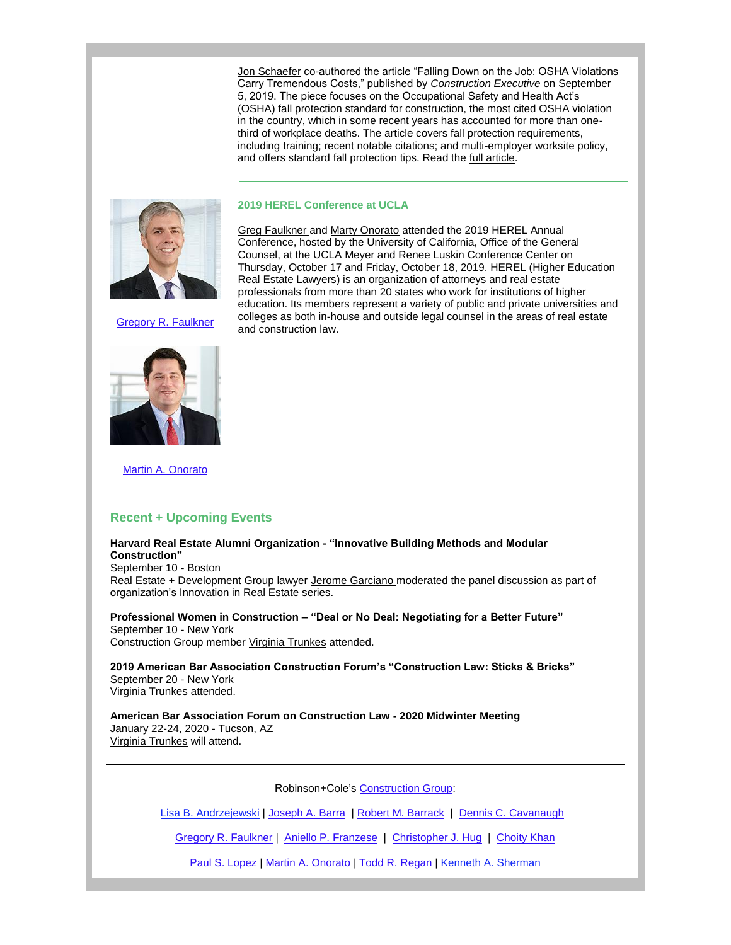[Jon Schaefer](https://protect-us.mimecast.com/s/a5QfCXDPGRfnN8MAI4JrGj?domain=r20.rs6.net) co-authored the article "Falling Down on the Job: OSHA Violations Carry Tremendous Costs," published by *Construction Executive* on September 5, 2019. The piece focuses on the Occupational Safety and Health Act's (OSHA) fall protection standard for construction, the most cited OSHA violation in the country, which in some recent years has accounted for more than onethird of workplace deaths. The article covers fall protection requirements, including training; recent notable citations; and multi-employer worksite policy, and offers standard fall protection tips. Read the [full article.](https://protect-us.mimecast.com/s/O-45CZ6gKRfMRkovU1miEU?domain=r20.rs6.net)



#### **2019 HEREL Conference at UCLA**

[Greg Faulkner a](https://protect-us.mimecast.com/s/cmUFC1wMoDHpmPEgH0koq2?domain=r20.rs6.net)nd [Marty Onorato](https://protect-us.mimecast.com/s/w6DDC2kXpECkGBErUks_mh?domain=r20.rs6.net) attended the 2019 HEREL Annual Conference, hosted by the University of California, Office of the General Counsel, at the UCLA Meyer and Renee Luskin Conference Center on Thursday, October 17 and Friday, October 18, 2019. HEREL (Higher Education Real Estate Lawyers) is an organization of attorneys and real estate professionals from more than 20 states who work for institutions of higher education. Its members represent a variety of public and private universities and colleges as both in-house and outside legal counsel in the areas of real estate and construction law.

[Gregory R. Faulkner](https://protect-us.mimecast.com/s/cmUFC1wMoDHpmPEgH0koq2?domain=r20.rs6.net)



[Martin A. Onorato](https://protect-us.mimecast.com/s/w6DDC2kXpECkGBErUks_mh?domain=r20.rs6.net)

# **Recent + Upcoming Events**

**Harvard Real Estate Alumni Organization - "Innovative Building Methods and Modular Construction"** September 10 - Boston

Real Estate + Development Group lawyer [Jerome Garciano](https://protect-us.mimecast.com/s/ai5OC313qGhmMyR3txBbUY?domain=r20.rs6.net) moderated the panel discussion as part of organization's Innovation in Real Estate series.

**Professional Women in Construction – "Deal or No Deal: Negotiating for a Better Future"**  September 10 - New York Construction Group member [Virginia Trunkes](https://protect-us.mimecast.com/s/hH9QCPNGw8C4mj5gIxl_Sv?domain=r20.rs6.net) attended.

**2019 American Bar Association Construction Forum's "Construction Law: Sticks & Bricks"** September 20 - New York [Virginia Trunkes](https://protect-us.mimecast.com/s/hH9QCPNGw8C4mj5gIxl_Sv?domain=r20.rs6.net) attended.

**American Bar Association Forum on Construction Law - 2020 Midwinter Meeting** January 22-24, 2020 - Tucson, AZ [Virginia Trunkes](https://protect-us.mimecast.com/s/hH9QCPNGw8C4mj5gIxl_Sv?domain=r20.rs6.net) will attend.

Robinson+Cole's [Construction Group:](https://protect-us.mimecast.com/s/tVbICn5lAPSGLP6wSJ27zU?domain=r20.rs6.net)

[Lisa B. Andrzejewski](https://protect-us.mimecast.com/s/9lHEC4x2rJiJWD7PhGVXbP?domain=r20.rs6.net) | [Joseph A. Barra](https://protect-us.mimecast.com/s/ZUweCL9GpRiPOGYqhJaYcu?domain=r20.rs6.net) | [Robert M. Barrack](https://protect-us.mimecast.com/s/no_9C5yMvgu0KXW8cr0XWS?domain=r20.rs6.net) | [Dennis C. Cavanaugh](https://protect-us.mimecast.com/s/huf4C68MwjHo9pGkCoaqH7?domain=r20.rs6.net) 

[Gregory R. Faulkner](https://protect-us.mimecast.com/s/cmUFC1wMoDHpmPEgH0koq2?domain=r20.rs6.net) | [Aniello P. Franzese](https://protect-us.mimecast.com/s/jX49C73MxkHm68WMtokCUV?domain=r20.rs6.net) | [Christopher J. Hug](https://protect-us.mimecast.com/s/J6KiC82gylSjM2w3TN447M?domain=r20.rs6.net) | [Choity Khan](https://protect-us.mimecast.com/s/AjtXCv2wMkSWgYy1Sysjen?domain=r20.rs6.net)

[Paul S. Lopez](https://protect-us.mimecast.com/s/pmkVC9rjzmimKlYntgN-8e?domain=r20.rs6.net) [| Martin A. Onorato](https://protect-us.mimecast.com/s/w6DDC2kXpECkGBErUks_mh?domain=r20.rs6.net) | [Todd R. Regan](https://protect-us.mimecast.com/s/-3BmCVOWD9FlKWPBfZkF3K?domain=r20.rs6.net) | [Kenneth A. Sherman](https://protect-us.mimecast.com/s/MbTFCOYGvRfAX72YHmy8P_?domain=r20.rs6.net)